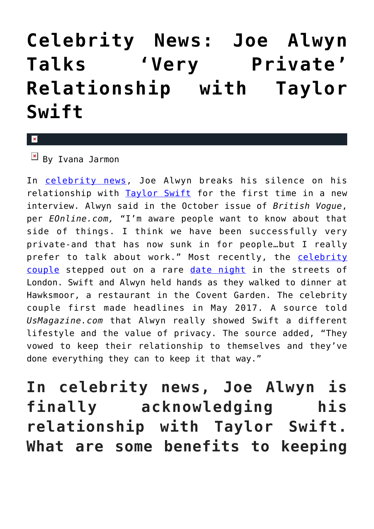## **[Celebrity News: Joe Alwyn](https://cupidspulse.com/126664/celebrity-news-joe-alwyn-talks-private-relationship-taylor-swift/) [Talks 'Very Private'](https://cupidspulse.com/126664/celebrity-news-joe-alwyn-talks-private-relationship-taylor-swift/) [Relationship with Taylor](https://cupidspulse.com/126664/celebrity-news-joe-alwyn-talks-private-relationship-taylor-swift/) [Swift](https://cupidspulse.com/126664/celebrity-news-joe-alwyn-talks-private-relationship-taylor-swift/)**

 $\mathbf{R}$ 

 $\mathbb{F}$  By Ivana Jarmon

In [celebrity news,](http://cupidspulse.com/) Joe Alwyn breaks his silence on his relationship with [Taylor Swift](http://cupidspulse.com/86081/taylor-swift/) for the first time in a new interview. Alwyn said in the October issue of *British Vogue*, per *EOnline.com,* "I'm aware people want to know about that side of things. I think we have been successfully very private-and that has now sunk in for people…but I really prefer to talk about work." Most recently, the [celebrity](http://cupidspulse.com/celebrity-news/celebrity-dating/) [couple](http://cupidspulse.com/celebrity-news/celebrity-dating/) stepped out on a rare [date night](http://cupidspulse.com/dating/date-ideas/) in the streets of London. Swift and Alwyn held hands as they walked to dinner at Hawksmoor, a restaurant in the Covent Garden. The celebrity couple first made headlines in May 2017. A source told *UsMagazine.com* that Alwyn really showed Swift a different lifestyle and the value of privacy. The source added, "They vowed to keep their relationship to themselves and they've done everything they can to keep it that way."

**In celebrity news, Joe Alwyn is finally acknowledging his relationship with Taylor Swift. What are some benefits to keeping**